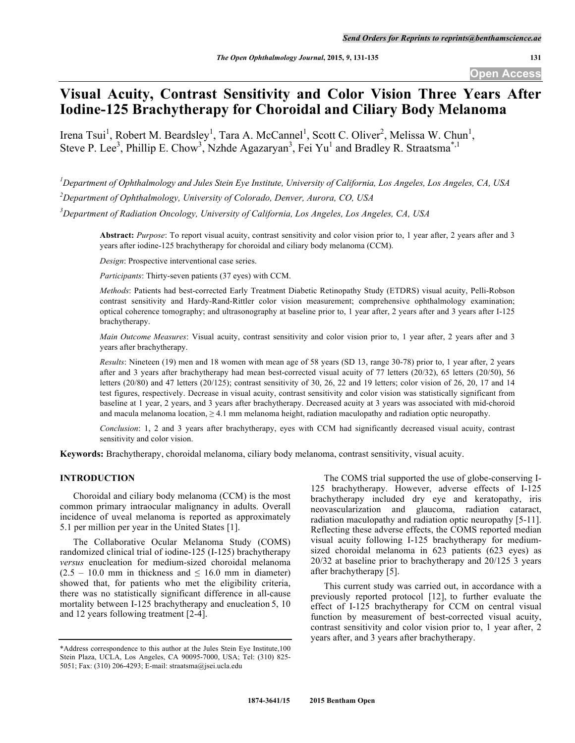**Open Access**

# **Visual Acuity, Contrast Sensitivity and Color Vision Three Years After Iodine-125 Brachytherapy for Choroidal and Ciliary Body Melanoma**

Irena Tsui<sup>1</sup>, Robert M. Beardsley<sup>1</sup>, Tara A. McCannel<sup>1</sup>, Scott C. Oliver<sup>2</sup>, Melissa W. Chun<sup>1</sup>, Steve P. Lee<sup>3</sup>, Phillip E. Chow<sup>3</sup>, Nzhde Agazaryan<sup>3</sup>, Fei Yu<sup>1</sup> and Bradley R. Straatsma<sup>\*,1</sup>

*1 Department of Ophthalmology and Jules Stein Eye Institute, University of California, Los Angeles, Los Angeles, CA, USA*

*2 Department of Ophthalmology, University of Colorado, Denver, Aurora, CO, USA*

*3 Department of Radiation Oncology, University of California, Los Angeles, Los Angeles, CA, USA*

**Abstract:** *Purpose*: To report visual acuity, contrast sensitivity and color vision prior to, 1 year after, 2 years after and 3 years after iodine-125 brachytherapy for choroidal and ciliary body melanoma (CCM).

*Design*: Prospective interventional case series.

*Participants*: Thirty-seven patients (37 eyes) with CCM.

*Methods*: Patients had best-corrected Early Treatment Diabetic Retinopathy Study (ETDRS) visual acuity, Pelli-Robson contrast sensitivity and Hardy-Rand-Rittler color vision measurement; comprehensive ophthalmology examination; optical coherence tomography; and ultrasonography at baseline prior to, 1 year after, 2 years after and 3 years after I-125 brachytherapy.

*Main Outcome Measures*: Visual acuity, contrast sensitivity and color vision prior to, 1 year after, 2 years after and 3 years after brachytherapy.

*Results*: Nineteen (19) men and 18 women with mean age of 58 years (SD 13, range 30-78) prior to, 1 year after, 2 years after and 3 years after brachytherapy had mean best-corrected visual acuity of 77 letters (20/32), 65 letters (20/50), 56 letters (20/80) and 47 letters (20/125); contrast sensitivity of 30, 26, 22 and 19 letters; color vision of 26, 20, 17 and 14 test figures, respectively. Decrease in visual acuity, contrast sensitivity and color vision was statistically significant from baseline at 1 year, 2 years, and 3 years after brachytherapy. Decreased acuity at 3 years was associated with mid-choroid and macula melanoma location,  $\geq 4.1$  mm melanoma height, radiation maculopathy and radiation optic neuropathy.

*Conclusion*: 1, 2 and 3 years after brachytherapy, eyes with CCM had significantly decreased visual acuity, contrast sensitivity and color vision.

**Keywords:** Brachytherapy, choroidal melanoma, ciliary body melanoma, contrast sensitivity, visual acuity.

## **INTRODUCTION**

Choroidal and ciliary body melanoma (CCM) is the most common primary intraocular malignancy in adults. Overall incidence of uveal melanoma is reported as approximately 5.1 per million per year in the United States [1].

The Collaborative Ocular Melanoma Study (COMS) randomized clinical trial of iodine-125 (I-125) brachytherapy *versus* enucleation for medium-sized choroidal melanoma  $(2.5 - 10.0$  mm in thickness and  $\leq 16.0$  mm in diameter) showed that, for patients who met the eligibility criteria, there was no statistically significant difference in all-cause mortality between I-125 brachytherapy and enucleation 5, 10 and 12 years following treatment [2-4].

The COMS trial supported the use of globe-conserving I-125 brachytherapy. However, adverse effects of I-125 brachytherapy included dry eye and keratopathy, iris neovascularization and glaucoma, radiation cataract, radiation maculopathy and radiation optic neuropathy [5-11]. Reflecting these adverse effects, the COMS reported median visual acuity following I-125 brachytherapy for mediumsized choroidal melanoma in 623 patients (623 eyes) as 20/32 at baseline prior to brachytherapy and 20/125 3 years after brachytherapy [5].

This current study was carried out, in accordance with a previously reported protocol [12], to further evaluate the effect of I-125 brachytherapy for CCM on central visual function by measurement of best-corrected visual acuity, contrast sensitivity and color vision prior to, 1 year after, 2 years after, and 3 years after brachytherapy.

<sup>\*</sup>Address correspondence to this author at the Jules Stein Eye Institute,100 Stein Plaza, UCLA, Los Angeles, CA 90095-7000, USA; Tel: (310) 825- 5051; Fax: (310) 206-4293; E-mail: straatsma@jsei.ucla.edu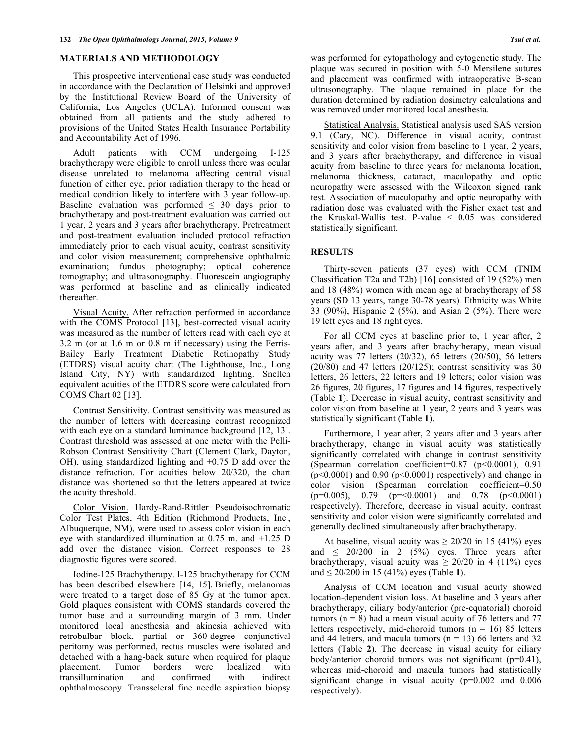# **MATERIALS AND METHODOLOGY**

This prospective interventional case study was conducted in accordance with the Declaration of Helsinki and approved by the Institutional Review Board of the University of California, Los Angeles (UCLA). Informed consent was obtained from all patients and the study adhered to provisions of the United States Health Insurance Portability and Accountability Act of 1996.

Adult patients with CCM undergoing I-125 brachytherapy were eligible to enroll unless there was ocular disease unrelated to melanoma affecting central visual function of either eye, prior radiation therapy to the head or medical condition likely to interfere with 3 year follow-up. Baseline evaluation was performed  $\leq 30$  days prior to brachytherapy and post-treatment evaluation was carried out 1 year, 2 years and 3 years after brachytherapy. Pretreatment and post-treatment evaluation included protocol refraction immediately prior to each visual acuity, contrast sensitivity and color vision measurement; comprehensive ophthalmic examination; fundus photography; optical coherence tomography; and ultrasonography. Fluorescein angiography was performed at baseline and as clinically indicated thereafter.

Visual Acuity. After refraction performed in accordance with the COMS Protocol [13], best-corrected visual acuity was measured as the number of letters read with each eye at 3.2 m (or at 1.6 m or 0.8 m if necessary) using the Ferris-Bailey Early Treatment Diabetic Retinopathy Study (ETDRS) visual acuity chart (The Lighthouse, Inc., Long Island City, NY) with standardized lighting. Snellen equivalent acuities of the ETDRS score were calculated from COMS Chart 02 [13].

Contrast Sensitivity. Contrast sensitivity was measured as the number of letters with decreasing contrast recognized with each eye on a standard luminance background [12, 13]. Contrast threshold was assessed at one meter with the Pelli-Robson Contrast Sensitivity Chart (Clement Clark, Dayton, OH), using standardized lighting and +0.75 D add over the distance refraction. For acuities below 20/320, the chart distance was shortened so that the letters appeared at twice the acuity threshold.

Color Vision. Hardy-Rand-Rittler Pseudoisochromatic Color Test Plates, 4th Edition (Richmond Products, Inc., Albuquerque, NM), were used to assess color vision in each eye with standardized illumination at 0.75 m. and +1.25 D add over the distance vision. Correct responses to 28 diagnostic figures were scored.

Iodine-125 Brachytherapy. I-125 brachytherapy for CCM has been described elsewhere [14, 15]. Briefly, melanomas were treated to a target dose of 85 Gy at the tumor apex. Gold plaques consistent with COMS standards covered the tumor base and a surrounding margin of 3 mm. Under monitored local anesthesia and akinesia achieved with retrobulbar block, partial or 360-degree conjunctival peritomy was performed, rectus muscles were isolated and detached with a hang-back suture when required for plaque placement. Tumor borders were localized with transillumination and confirmed with indirect ophthalmoscopy. Transscleral fine needle aspiration biopsy

was performed for cytopathology and cytogenetic study. The plaque was secured in position with 5-0 Mersilene sutures and placement was confirmed with intraoperative B-scan ultrasonography. The plaque remained in place for the duration determined by radiation dosimetry calculations and was removed under monitored local anesthesia.

Statistical Analysis. Statistical analysis used SAS version 9.1 (Cary, NC). Difference in visual acuity, contrast sensitivity and color vision from baseline to 1 year, 2 years, and 3 years after brachytherapy, and difference in visual acuity from baseline to three years for melanoma location, melanoma thickness, cataract, maculopathy and optic neuropathy were assessed with the Wilcoxon signed rank test. Association of maculopathy and optic neuropathy with radiation dose was evaluated with the Fisher exact test and the Kruskal-Wallis test. P-value < 0.05 was considered statistically significant.

# **RESULTS**

Thirty-seven patients (37 eyes) with CCM (TNIM Classification T2a and T2b) [16] consisted of 19 (52%) men and 18 (48%) women with mean age at brachytherapy of 58 years (SD 13 years, range 30-78 years). Ethnicity was White 33 (90%), Hispanic 2 (5%), and Asian 2 (5%). There were 19 left eyes and 18 right eyes.

For all CCM eyes at baseline prior to, 1 year after, 2 years after, and 3 years after brachytherapy, mean visual acuity was 77 letters (20/32), 65 letters (20/50), 56 letters (20/80) and 47 letters (20/125); contrast sensitivity was 30 letters, 26 letters, 22 letters and 19 letters; color vision was 26 figures, 20 figures, 17 figures and 14 figures, respectively (Table **1**). Decrease in visual acuity, contrast sensitivity and color vision from baseline at 1 year, 2 years and 3 years was statistically significant (Table **1**).

Furthermore, 1 year after, 2 years after and 3 years after brachytherapy, change in visual acuity was statistically significantly correlated with change in contrast sensitivity (Spearman correlation coefficient=0.87 (p<0.0001), 0.91  $(p<0.0001)$  and 0.90  $(p<0.0001)$  respectively) and change in color vision (Spearman correlation coefficient=0.50  $(p=0.005)$ , 0.79  $(p=<0.0001)$  and 0.78  $(p<0.0001)$ respectively). Therefore, decrease in visual acuity, contrast sensitivity and color vision were significantly correlated and generally declined simultaneously after brachytherapy.

At baseline, visual acuity was  $\geq 20/20$  in 15 (41%) eyes and  $\leq$  20/200 in 2 (5%) eyes. Three years after brachytherapy, visual acuity was  $\geq 20/20$  in 4 (11%) eyes and ≤ 20/200 in 15 (41%) eyes (Table **1**).

Analysis of CCM location and visual acuity showed location-dependent vision loss. At baseline and 3 years after brachytherapy, ciliary body/anterior (pre-equatorial) choroid tumors ( $n = 8$ ) had a mean visual acuity of 76 letters and 77 letters respectively, mid-choroid tumors ( $n = 16$ ) 85 letters and 44 letters, and macula tumors ( $n = 13$ ) 66 letters and 32 letters (Table **2**). The decrease in visual acuity for ciliary body/anterior choroid tumors was not significant (p=0.41), whereas mid-choroid and macula tumors had statistically significant change in visual acuity (p=0.002 and 0.006 respectively).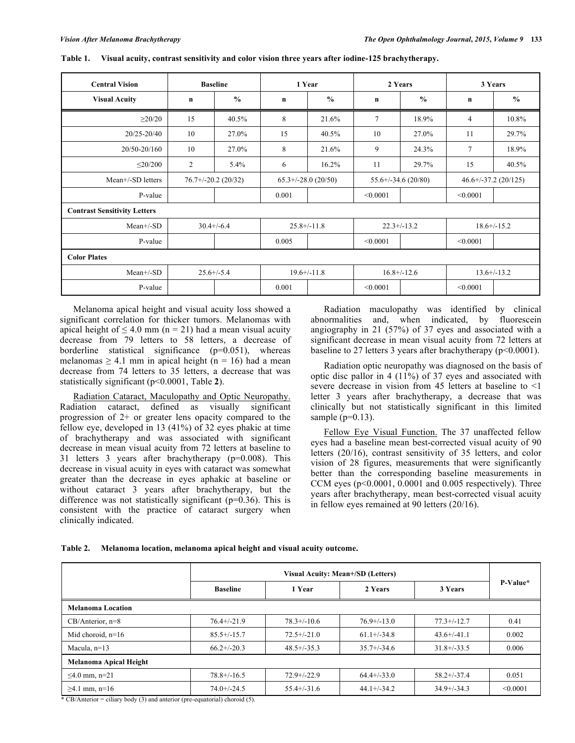| <b>Central Vision</b><br><b>Baseline</b> |                      |               | 1 Year               |               | 2 Years                 |               | 3 Years                   |               |
|------------------------------------------|----------------------|---------------|----------------------|---------------|-------------------------|---------------|---------------------------|---------------|
| <b>Visual Acuity</b>                     | $\mathbf n$          | $\frac{0}{0}$ | n                    | $\frac{0}{0}$ | $\mathbf n$             | $\frac{0}{0}$ | $\mathbf n$               | $\frac{0}{0}$ |
| $\geq$ 20/20                             | 15                   | 40.5%         | 8                    | 21.6%         | 7                       | 18.9%         | 4                         | 10.8%         |
| 20/25-20/40                              | 10                   | 27.0%         | 15                   | 40.5%         | 10                      | 27.0%         | 11                        | 29.7%         |
| 20/50-20/160                             | 10                   | 27.0%         | 8                    | 21.6%         | 9                       | 24.3%         | $\tau$                    | 18.9%         |
| $\leq$ 20/200                            | 2                    | 5.4%          | 6                    | 16.2%         | 11                      | 29.7%         | 15                        | 40.5%         |
| Mean+/-SD letters                        | $76.7+/-20.2(20/32)$ |               | $65.3+/-28.0(20/50)$ |               | $55.6^{+/-}34.6(20/80)$ |               | $46.6 + (-37.2) (20/125)$ |               |
| P-value                                  |                      |               | 0.001                |               | < 0.0001                |               | < 0.0001                  |               |
| <b>Contrast Sensitivity Letters</b>      |                      |               |                      |               |                         |               |                           |               |
| Mean+/-SD                                | $30.4 + (-6.4)$      |               | $25.8 + / -11.8$     |               | $22.3+/-13.2$           |               | $18.6 + (-15.2)$          |               |
| P-value                                  |                      |               | 0.005                |               | < 0.0001                |               | < 0.0001                  |               |
| <b>Color Plates</b>                      |                      |               |                      |               |                         |               |                           |               |
| $Mean+/SD$                               | $25.6 + (-5.4)$      |               | $19.6 + (-11.8)$     |               | $16.8 + -12.6$          |               | $13.6+/-13.2$             |               |
| P-value                                  |                      |               | 0.001                |               | < 0.0001                |               | < 0.0001                  |               |

**Table 1. Visual acuity, contrast sensitivity and color vision three years after iodine-125 brachytherapy.**

Melanoma apical height and visual acuity loss showed a significant correlation for thicker tumors. Melanomas with apical height of  $\leq 4.0$  mm (n = 21) had a mean visual acuity decrease from 79 letters to 58 letters, a decrease of borderline statistical significance (p=0.051), whereas melanomas  $\geq 4.1$  mm in apical height (n = 16) had a mean decrease from 74 letters to 35 letters, a decrease that was statistically significant (p<0.0001, Table **2**).

Radiation Cataract, Maculopathy and Optic Neuropathy. Radiation cataract, defined as visually significant progression of 2+ or greater lens opacity compared to the fellow eye, developed in 13 (41%) of 32 eyes phakic at time of brachytherapy and was associated with significant decrease in mean visual acuity from 72 letters at baseline to 31 letters 3 years after brachytherapy (p=0.008). This decrease in visual acuity in eyes with cataract was somewhat greater than the decrease in eyes aphakic at baseline or without cataract 3 years after brachytherapy, but the difference was not statistically significant (p=0.36). This is consistent with the practice of cataract surgery when clinically indicated.

Radiation maculopathy was identified by clinical abnormalities and, when indicated, by fluorescein angiography in 21 (57%) of 37 eyes and associated with a significant decrease in mean visual acuity from 72 letters at baseline to 27 letters 3 years after brachytherapy (p<0.0001).

Radiation optic neuropathy was diagnosed on the basis of optic disc pallor in 4 (11%) of 37 eyes and associated with severe decrease in vision from 45 letters at baseline to <1 letter 3 years after brachytherapy, a decrease that was clinically but not statistically significant in this limited sample  $(p=0.13)$ .

Fellow Eye Visual Function. The 37 unaffected fellow eyes had a baseline mean best-corrected visual acuity of 90 letters (20/16), contrast sensitivity of 35 letters, and color vision of 28 figures, measurements that were significantly better than the corresponding baseline measurements in CCM eyes  $(p<0.0001, 0.0001$  and  $0.005$  respectively). Three years after brachytherapy, mean best-corrected visual acuity in fellow eyes remained at 90 letters (20/16).

| Table 2. |  |  |  | Melanoma location, melanoma apical height and visual acuity outcome. |  |
|----------|--|--|--|----------------------------------------------------------------------|--|
|          |  |  |  |                                                                      |  |

|                          | Visual Acuity: Mean+/SD (Letters) |                  |                  |                  |          |  |  |  |  |
|--------------------------|-----------------------------------|------------------|------------------|------------------|----------|--|--|--|--|
|                          | <b>Baseline</b>                   | 1 Year           | 2 Years          | 3 Years          | P-Value* |  |  |  |  |
| <b>Melanoma Location</b> |                                   |                  |                  |                  |          |  |  |  |  |
| $CB/Anterior, n=8$       | $76.4 + (-21.9)$                  | $78.3 + (-10.6)$ | $76.9+/-13.0$    | $77.3 + (-12.7)$ | 0.41     |  |  |  |  |
| Mid choroid, $n=16$      | $85.5+/-15.7$                     | $72.5+/-21.0$    | $61.1 + (-34.8)$ | $43.6+/-41.1$    | 0.002    |  |  |  |  |
| Macula, $n=13$           | $66.2+/-20.3$                     | $48.5 + (-35.3)$ | $35.7 + (-34.6)$ | $31.8 + (-33.5)$ | 0.006    |  |  |  |  |
| Melanoma Apical Height   |                                   |                  |                  |                  |          |  |  |  |  |
| ≤4.0 mm, n=21            | $78.8 + / -16.5$                  | $72.9 + (-22.9)$ | $64.4+/-33.0$    | $58.2 + (-37.4)$ | 0.051    |  |  |  |  |
| $≥4.1$ mm, n=16          | $74.0 + (-24.5)$                  | $55.4 + (-31.6)$ | $44.1 + (-34.2)$ | $34.9 + (-34.3)$ | < 0.0001 |  |  |  |  |

\* CB/Anterior = ciliary body (3) and anterior (pre-equatorial) choroid (5).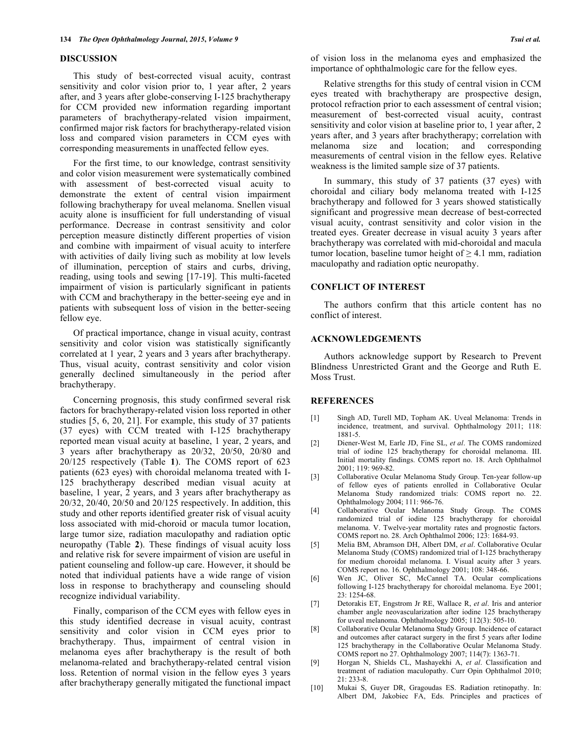### **DISCUSSION**

This study of best-corrected visual acuity, contrast sensitivity and color vision prior to, 1 year after, 2 years after, and 3 years after globe-conserving I-125 brachytherapy for CCM provided new information regarding important parameters of brachytherapy-related vision impairment, confirmed major risk factors for brachytherapy-related vision loss and compared vision parameters in CCM eyes with corresponding measurements in unaffected fellow eyes.

For the first time, to our knowledge, contrast sensitivity and color vision measurement were systematically combined with assessment of best-corrected visual acuity to demonstrate the extent of central vision impairment following brachytherapy for uveal melanoma. Snellen visual acuity alone is insufficient for full understanding of visual performance. Decrease in contrast sensitivity and color perception measure distinctly different properties of vision and combine with impairment of visual acuity to interfere with activities of daily living such as mobility at low levels of illumination, perception of stairs and curbs, driving, reading, using tools and sewing [17-19]. This multi-faceted impairment of vision is particularly significant in patients with CCM and brachytherapy in the better-seeing eye and in patients with subsequent loss of vision in the better-seeing fellow eye.

Of practical importance, change in visual acuity, contrast sensitivity and color vision was statistically significantly correlated at 1 year, 2 years and 3 years after brachytherapy. Thus, visual acuity, contrast sensitivity and color vision generally declined simultaneously in the period after brachytherapy.

Concerning prognosis, this study confirmed several risk factors for brachytherapy-related vision loss reported in other studies [5, 6, 20, 21]. For example, this study of 37 patients (37 eyes) with CCM treated with I-125 brachytherapy reported mean visual acuity at baseline, 1 year, 2 years, and 3 years after brachytherapy as 20/32, 20/50, 20/80 and 20/125 respectively (Table **1**). The COMS report of 623 patients (623 eyes) with choroidal melanoma treated with I-125 brachytherapy described median visual acuity at baseline, 1 year, 2 years, and 3 years after brachytherapy as 20/32, 20/40, 20/50 and 20/125 respectively. In addition, this study and other reports identified greater risk of visual acuity loss associated with mid-choroid or macula tumor location, large tumor size, radiation maculopathy and radiation optic neuropathy (Table **2**). These findings of visual acuity loss and relative risk for severe impairment of vision are useful in patient counseling and follow-up care. However, it should be noted that individual patients have a wide range of vision loss in response to brachytherapy and counseling should recognize individual variability.

Finally, comparison of the CCM eyes with fellow eyes in this study identified decrease in visual acuity, contrast sensitivity and color vision in CCM eyes prior to brachytherapy. Thus, impairment of central vision in melanoma eyes after brachytherapy is the result of both melanoma-related and brachytherapy-related central vision loss. Retention of normal vision in the fellow eyes 3 years after brachytherapy generally mitigated the functional impact

of vision loss in the melanoma eyes and emphasized the importance of ophthalmologic care for the fellow eyes.

Relative strengths for this study of central vision in CCM eyes treated with brachytherapy are prospective design, protocol refraction prior to each assessment of central vision; measurement of best-corrected visual acuity, contrast sensitivity and color vision at baseline prior to, 1 year after, 2 years after, and 3 years after brachytherapy; correlation with melanoma size and location; and corresponding measurements of central vision in the fellow eyes. Relative weakness is the limited sample size of 37 patients.

In summary, this study of 37 patients (37 eyes) with choroidal and ciliary body melanoma treated with I-125 brachytherapy and followed for 3 years showed statistically significant and progressive mean decrease of best-corrected visual acuity, contrast sensitivity and color vision in the treated eyes. Greater decrease in visual acuity 3 years after brachytherapy was correlated with mid-choroidal and macula tumor location, baseline tumor height of  $\geq 4.1$  mm, radiation maculopathy and radiation optic neuropathy.

#### **CONFLICT OF INTEREST**

The authors confirm that this article content has no conflict of interest.

#### **ACKNOWLEDGEMENTS**

Authors acknowledge support by Research to Prevent Blindness Unrestricted Grant and the George and Ruth E. Moss Trust.

### **REFERENCES**

- [1] Singh AD, Turell MD, Topham AK. Uveal Melanoma: Trends in incidence, treatment, and survival. Ophthalmology 2011; 118: 1881-5.
- [2] Diener-West M, Earle JD, Fine SL, *et al*. The COMS randomized trial of iodine 125 brachytherapy for choroidal melanoma. III. Initial mortality findings. COMS report no. 18. Arch Ophthalmol 2001; 119: 969-82.
- [3] Collaborative Ocular Melanoma Study Group. Ten-year follow-up of fellow eyes of patients enrolled in Collaborative Ocular Melanoma Study randomized trials: COMS report no. 22. Ophthalmology 2004; 111: 966-76.
- [4] Collaborative Ocular Melanoma Study Group. The COMS randomized trial of iodine 125 brachytherapy for choroidal melanoma. V. Twelve-year mortality rates and prognostic factors. COMS report no. 28. Arch Ophthalmol 2006; 123: 1684-93.
- [5] Melia BM, Abramson DH, Albert DM, *et al*. Collaborative Ocular Melanoma Study (COMS) randomized trial of I-125 brachytherapy for medium choroidal melanoma. I. Visual acuity after 3 years. COMS report no. 16. Ophthalmology 2001; 108: 348-66.
- [6] Wen JC, Oliver SC, McCannel TA. Ocular complications following I-125 brachytherapy for choroidal melanoma. Eye 2001; 23: 1254-68.
- [7] Detorakis ET, Engstrom Jr RE, Wallace R, *et al*. Iris and anterior chamber angle neovascularization after iodine 125 brachytherapy for uveal melanoma. Ophthalmology 2005; 112(3): 505-10.
- [8] Collaborative Ocular Melanoma Study Group. Incidence of cataract and outcomes after cataract surgery in the first 5 years after Iodine 125 brachytherapy in the Collaborative Ocular Melanoma Study. COMS report no 27. Ophthalmology 2007; 114(7): 1363-71.
- [9] Horgan N, Shields CL, Mashayekhi A, *et al*. Classification and treatment of radiation maculopathy. Curr Opin Ophthalmol 2010;  $21.23 - 8$
- [10] Mukai S, Guyer DR, Gragoudas ES. Radiation retinopathy. In: Albert DM, Jakobiec FA, Eds. Principles and practices of